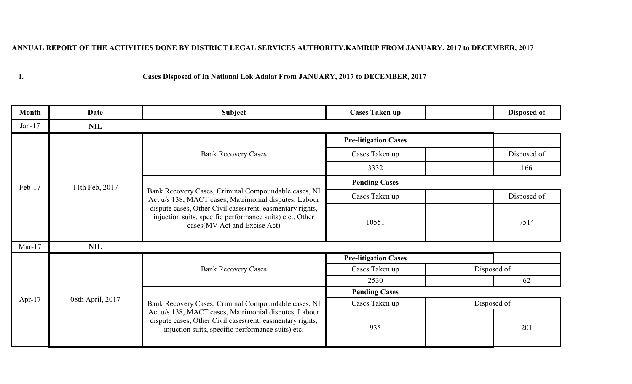## **ANNUAL REPORT OF THE ACTIVITIES DONE BY DISTRICT LEGAL SERVICES AUTHORITY,KAMRUP FROM JANUARY, 2017 to DECEMBER, 2017**

**I.**

## **Cases Disposed of In National Lok Adalat From JANUARY, 2017 to DECEMBER, 2017**

| <b>Month</b> | Date             | <b>Subject</b>                                                                                                                                                                                                                                                          | <b>Cases Taken up</b>       |             | Disposed of |
|--------------|------------------|-------------------------------------------------------------------------------------------------------------------------------------------------------------------------------------------------------------------------------------------------------------------------|-----------------------------|-------------|-------------|
| $Jan-17$     | <b>NIL</b>       |                                                                                                                                                                                                                                                                         |                             |             |             |
| Feb-17       | 11th Feb, 2017   | <b>Bank Recovery Cases</b>                                                                                                                                                                                                                                              | <b>Pre-litigation Cases</b> |             |             |
|              |                  |                                                                                                                                                                                                                                                                         | Cases Taken up              |             | Disposed of |
|              |                  |                                                                                                                                                                                                                                                                         | 3332                        |             | 166         |
|              |                  | Bank Recovery Cases, Criminal Compoundable cases, NI<br>Act u/s 138, MACT cases, Matrimonial disputes, Labour<br>dispute cases, Other Civil cases (rent, easmentary rights,<br>injuction suits, specific performance suits) etc., Other<br>cases(MV Act and Excise Act) | <b>Pending Cases</b>        |             |             |
|              |                  |                                                                                                                                                                                                                                                                         | Cases Taken up              |             | Disposed of |
|              |                  |                                                                                                                                                                                                                                                                         | 10551                       |             | 7514        |
| Mar- $17$    | <b>NIL</b>       |                                                                                                                                                                                                                                                                         |                             |             |             |
| Apr- $17$    | 08th April, 2017 | <b>Bank Recovery Cases</b>                                                                                                                                                                                                                                              | <b>Pre-litigation Cases</b> |             |             |
|              |                  |                                                                                                                                                                                                                                                                         | Cases Taken up              | Disposed of |             |
|              |                  |                                                                                                                                                                                                                                                                         | 2530                        |             | 62          |
|              |                  |                                                                                                                                                                                                                                                                         | <b>Pending Cases</b>        |             |             |
|              |                  | Bank Recovery Cases, Criminal Compoundable cases, NI<br>Act u/s 138, MACT cases, Matrimonial disputes, Labour<br>dispute cases, Other Civil cases (rent, easmentary rights,<br>injuction suits, specific performance suits) etc.                                        | Cases Taken up              | Disposed of |             |
|              |                  |                                                                                                                                                                                                                                                                         | 935                         |             | 201         |